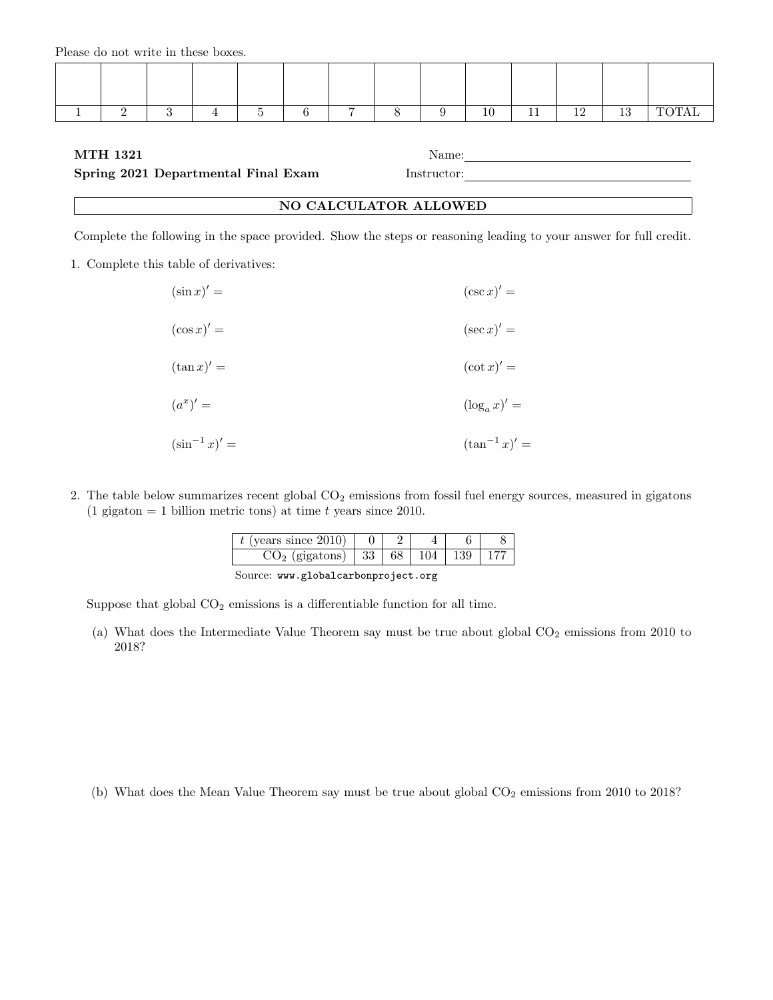|  |  |  | - |  |  | n |  |
|--|--|--|---|--|--|---|--|

# MTH 1321 Name:

#### Spring 2021 Departmental Final Exam Instructor:

| NO CALCULATOR ALLOWED |
|-----------------------|
|-----------------------|

Complete the following in the space provided. Show the steps or reasoning leading to your answer for full credit.

1. Complete this table of derivatives:

| $(\sin x)' =$      | $(\csc x)' =$      |
|--------------------|--------------------|
| $(\cos x)' =$      | $(\sec x)' =$      |
| $(\tan x)' =$      | $(\cot x)' =$      |
| $(a^x)' =$         | $(\log_a x)' =$    |
| $(\sin^{-1} x)' =$ | $(\tan^{-1} x)' =$ |

2. The table below summarizes recent global CO<sub>2</sub> emissions from fossil fuel energy sources, measured in gigatons (1 gigaton = 1 billion metric tons) at time t years since 2010.

| (years since $2010$ ) |    |  |  |
|-----------------------|----|--|--|
| $(gigatons)$   33     | 68 |  |  |

|  | Source: www.globalcarbonproject.org |  |
|--|-------------------------------------|--|
|--|-------------------------------------|--|

Suppose that global  $CO<sub>2</sub>$  emissions is a differentiable function for all time.

(a) What does the Intermediate Value Theorem say must be true about global  $CO<sub>2</sub>$  emissions from 2010 to 2018?

(b) What does the Mean Value Theorem say must be true about global  $CO<sub>2</sub>$  emissions from 2010 to 2018?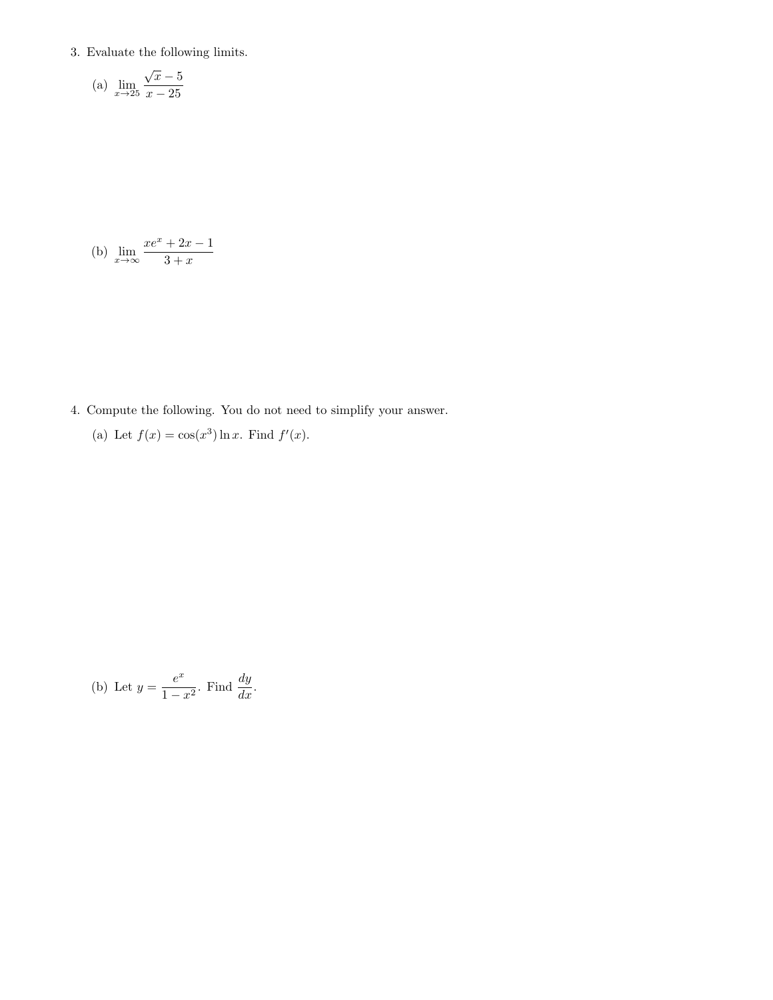3. Evaluate the following limits.

(a) 
$$
\lim_{x \to 25} \frac{\sqrt{x} - 5}{x - 25}
$$

(b) 
$$
\lim_{x \to \infty} \frac{xe^x + 2x - 1}{3 + x}
$$

- 4. Compute the following. You do not need to simplify your answer.
	- (a) Let  $f(x) = \cos(x^3) \ln x$ . Find  $f'(x)$ .

(b) Let 
$$
y = \frac{e^x}{1 - x^2}
$$
. Find  $\frac{dy}{dx}$ .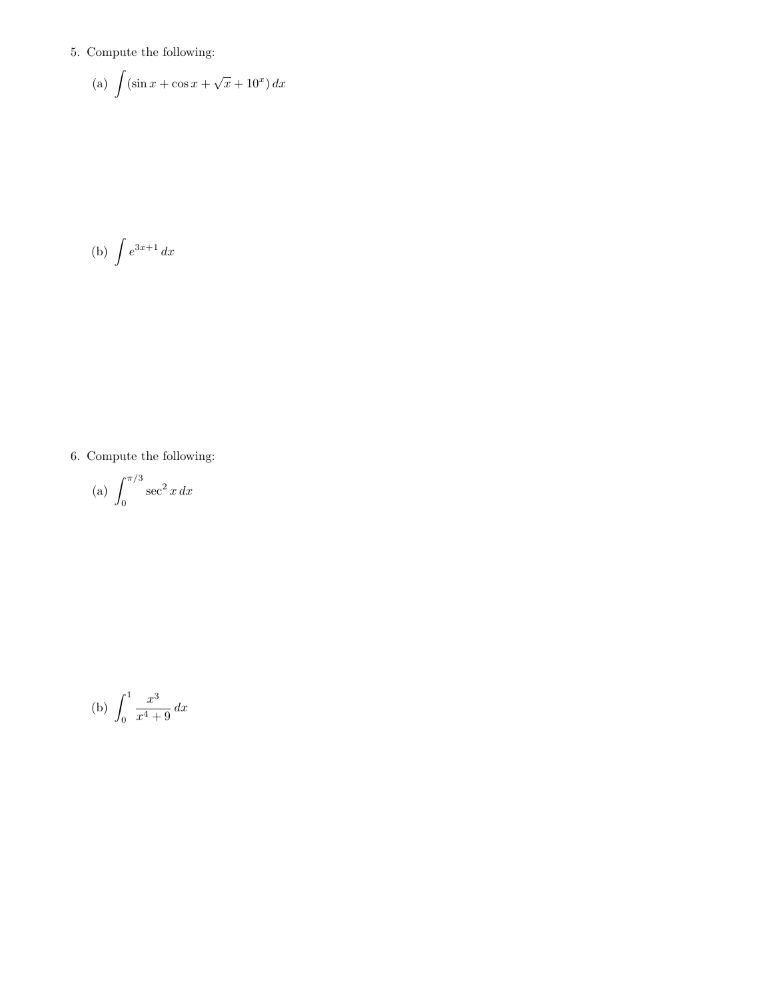# 5. Compute the following:

(a) 
$$
\int (\sin x + \cos x + \sqrt{x} + 10^x) dx
$$

$$
(b) \int e^{3x+1} dx
$$

# 6. Compute the following:

(a) 
$$
\int_0^{\pi/3} \sec^2 x \, dx
$$

(b) 
$$
\int_0^1 \frac{x^3}{x^4 + 9} \, dx
$$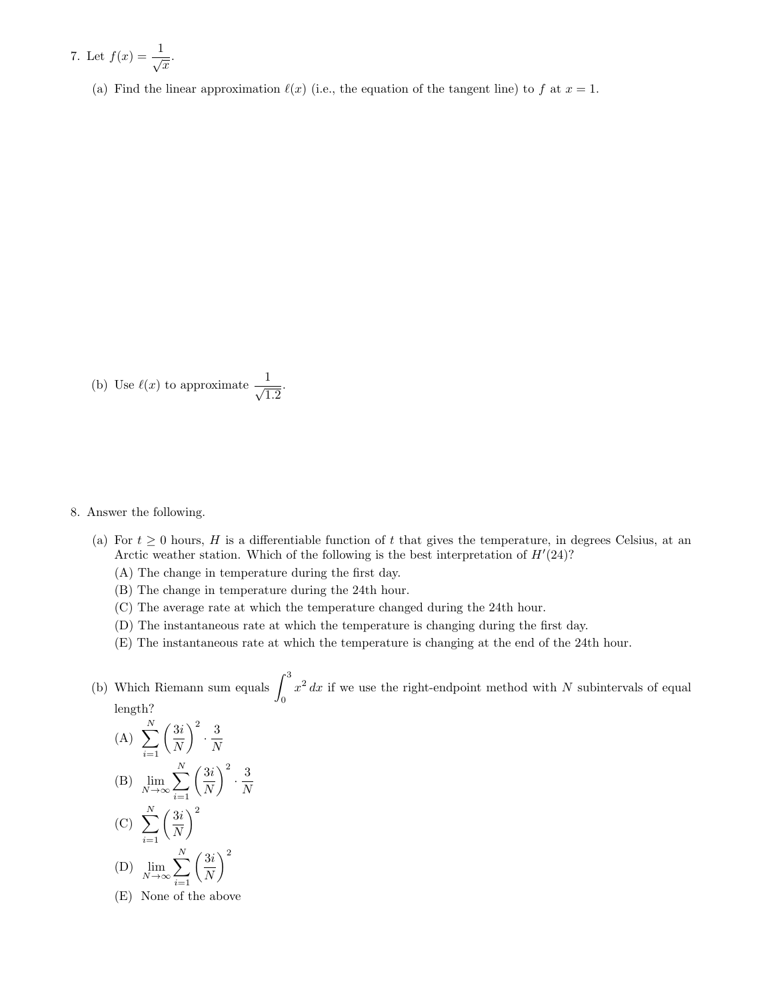7. Let 
$$
f(x) = \frac{1}{\sqrt{x}}
$$
.

(a) Find the linear approximation  $\ell(x)$  (i.e., the equation of the tangent line) to f at  $x = 1$ .

(b) Use  $\ell(x)$  to approximate  $\frac{1}{\sqrt{2}}$  $\frac{1}{1.2}$ 

#### 8. Answer the following.

- (a) For  $t \geq 0$  hours, H is a differentiable function of t that gives the temperature, in degrees Celsius, at an Arctic weather station. Which of the following is the best interpretation of  $H'(24)$ ?
	- (A) The change in temperature during the first day.
	- (B) The change in temperature during the 24th hour.

N

- (C) The average rate at which the temperature changed during the 24th hour.
- (D) The instantaneous rate at which the temperature is changing during the first day.
- (E) The instantaneous rate at which the temperature is changing at the end of the 24th hour.
- (b) Which Riemann sum equals  $\int_3^3$ 0  $x^2 dx$  if we use the right-endpoint method with N subintervals of equal length?

(A) 
$$
\sum_{i=1}^{N} \left(\frac{3i}{N}\right)^2 \cdot \frac{3}{N}
$$
  
\n(B) 
$$
\lim_{N \to \infty} \sum_{i=1}^{N} \left(\frac{3i}{N}\right)^2 \cdot \frac{3}{N}
$$

- $(C) \sum_{i=1}^{N}$  $i=1$  $\sqrt{3}i$ N  $\setminus^2$  $(D)$   $\lim_{N\to\infty}$  $\sum_{i=1}^{N}$  $\sqrt{3}i$ N  $\setminus^2$
- $i=1$ (E) None of the above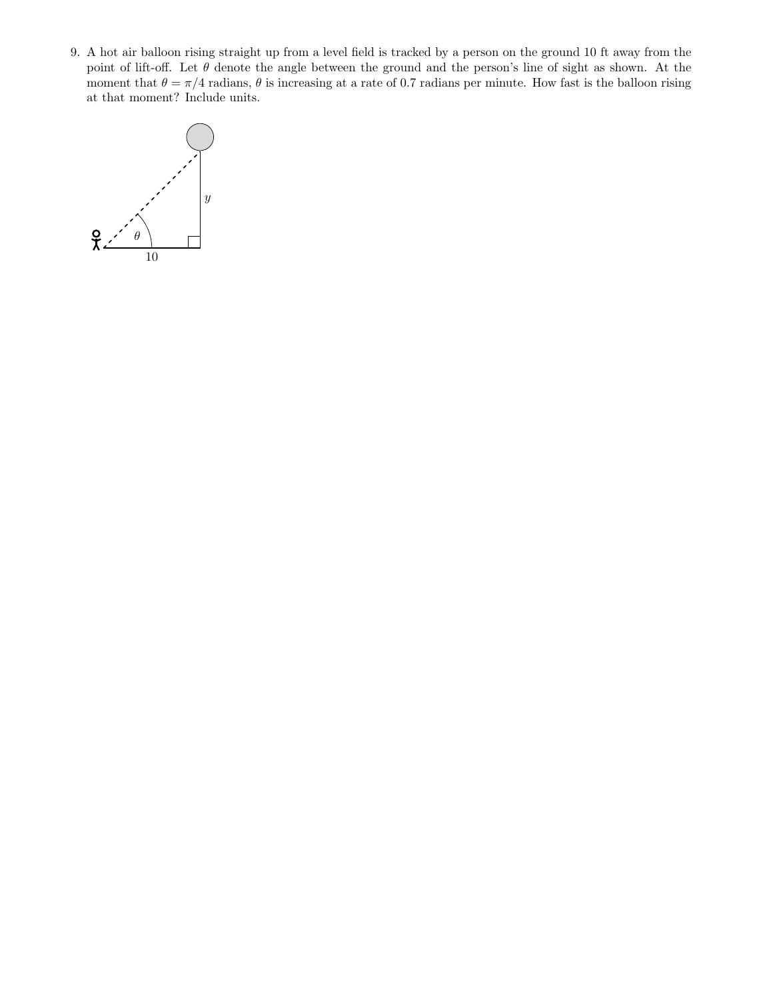9. A hot air balloon rising straight up from a level field is tracked by a person on the ground 10 ft away from the point of lift-off. Let  $\theta$  denote the angle between the ground and the person's line of sight as shown. At the moment that  $\theta = \pi/4$  radians,  $\theta$  is increasing at a rate of 0.7 radians per minute. How fast is the balloon rising at that moment? Include units.

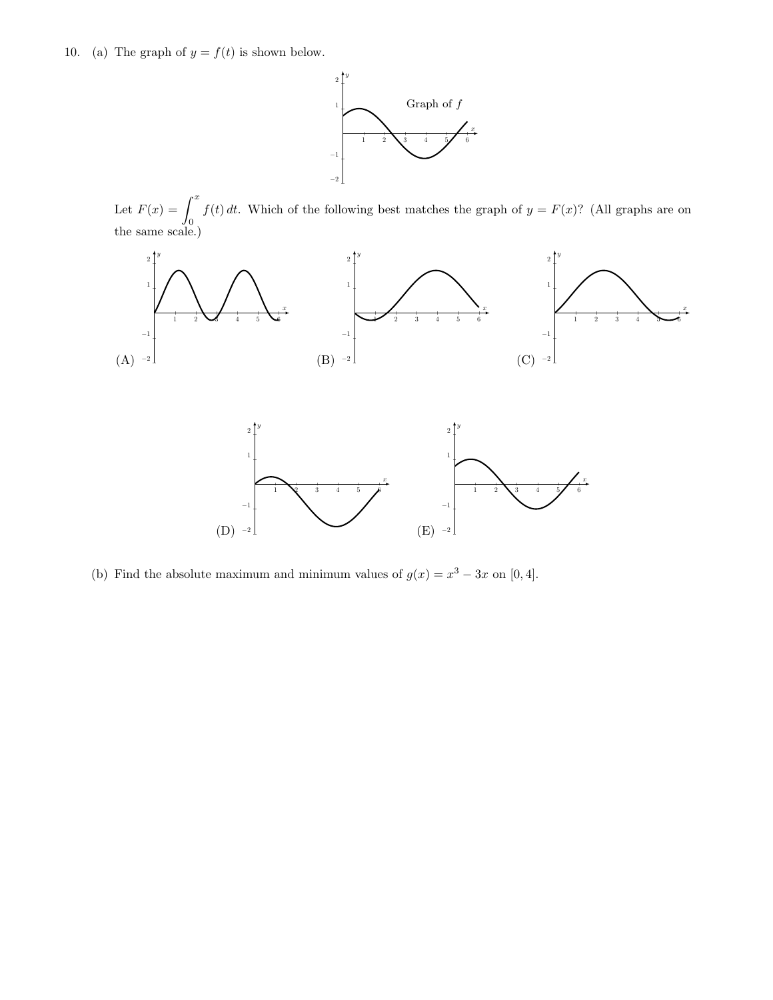10. (a) The graph of  $y = f(t)$  is shown below.



Let  $F(x) = \int^x$ 0  $f(t) dt$ . Which of the following best matches the graph of  $y = F(x)$ ? (All graphs are on the same scale.)





(b) Find the absolute maximum and minimum values of  $g(x) = x^3 - 3x$  on [0,4].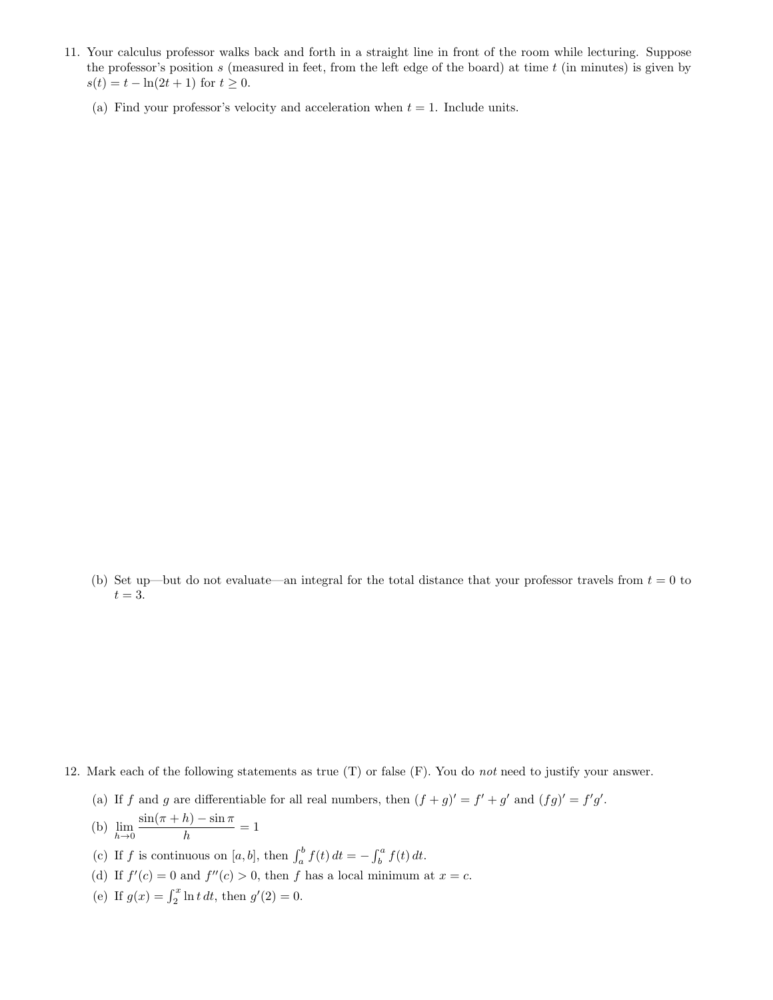- 11. Your calculus professor walks back and forth in a straight line in front of the room while lecturing. Suppose the professor's position  $s$  (measured in feet, from the left edge of the board) at time  $t$  (in minutes) is given by  $s(t) = t - \ln(2t + 1)$  for  $t \ge 0$ .
	- (a) Find your professor's velocity and acceleration when  $t = 1$ . Include units.

(b) Set up—but do not evaluate—an integral for the total distance that your professor travels from  $t = 0$  to  $t = 3$ .

- 12. Mark each of the following statements as true  $(T)$  or false  $(F)$ . You do not need to justify your answer.
	- (a) If f and g are differentiable for all real numbers, then  $(f+g)' = f' + g'$  and  $(fg)' = f'g'$ .
	- (b)  $\lim_{h\to 0}$  $\sin(\pi + h) - \sin \pi$  $\frac{h}{h} = 1$
	- (c) If f is continuous on [a, b], then  $\int_a^b f(t) dt = \int_b^a f(t) dt$ .
	- (d) If  $f'(c) = 0$  and  $f''(c) > 0$ , then f has a local minimum at  $x = c$ .
	- (e) If  $g(x) = \int_2^x \ln t \, dt$ , then  $g'(2) = 0$ .